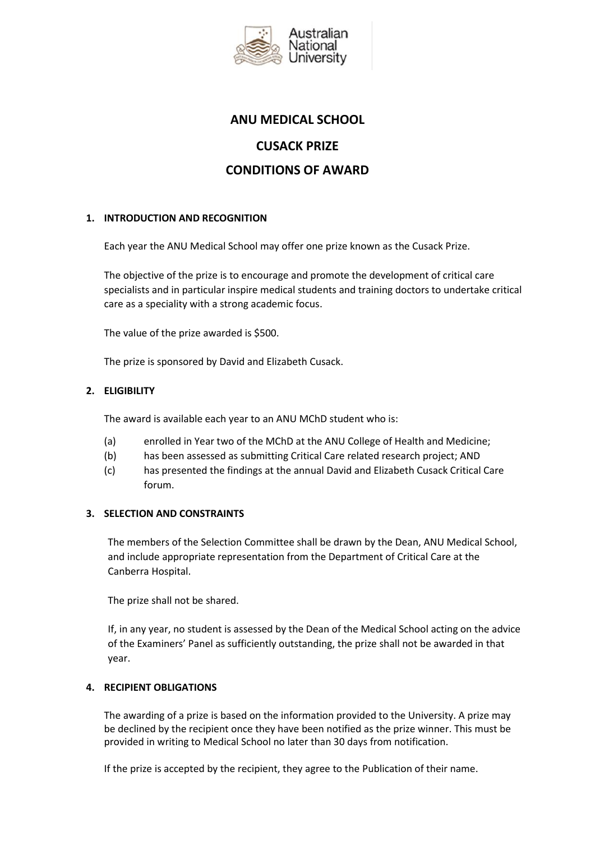

# **ANU MEDICAL SCHOOL CUSACK PRIZE CONDITIONS OF AWARD**

# **1. INTRODUCTION AND RECOGNITION**

Each year the ANU Medical School may offer one prize known as the Cusack Prize.

The objective of the prize is to encourage and promote the development of critical care specialists and in particular inspire medical students and training doctors to undertake critical care as a speciality with a strong academic focus.

The value of the prize awarded is \$500.

The prize is sponsored by David and Elizabeth Cusack.

# **2. ELIGIBILITY**

The award is available each year to an ANU MChD student who is:

- (a) enrolled in Year two of the MChD at the ANU College of Health and Medicine;
- (b) has been assessed as submitting Critical Care related research project; AND
- (c) has presented the findings at the annual David and Elizabeth Cusack Critical Care forum.

## **3. SELECTION AND CONSTRAINTS**

The members of the Selection Committee shall be drawn by the Dean, ANU Medical School, and include appropriate representation from the Department of Critical Care at the Canberra Hospital.

The prize shall not be shared.

If, in any year, no student is assessed by the Dean of the Medical School acting on the advice of the Examiners' Panel as sufficiently outstanding, the prize shall not be awarded in that year.

## **4. RECIPIENT OBLIGATIONS**

The awarding of a prize is based on the information provided to the University. A prize may be declined by the recipient once they have been notified as the prize winner. This must be provided in writing to Medical School no later than 30 days from notification.

If the prize is accepted by the recipient, they agree to the Publication of their name.